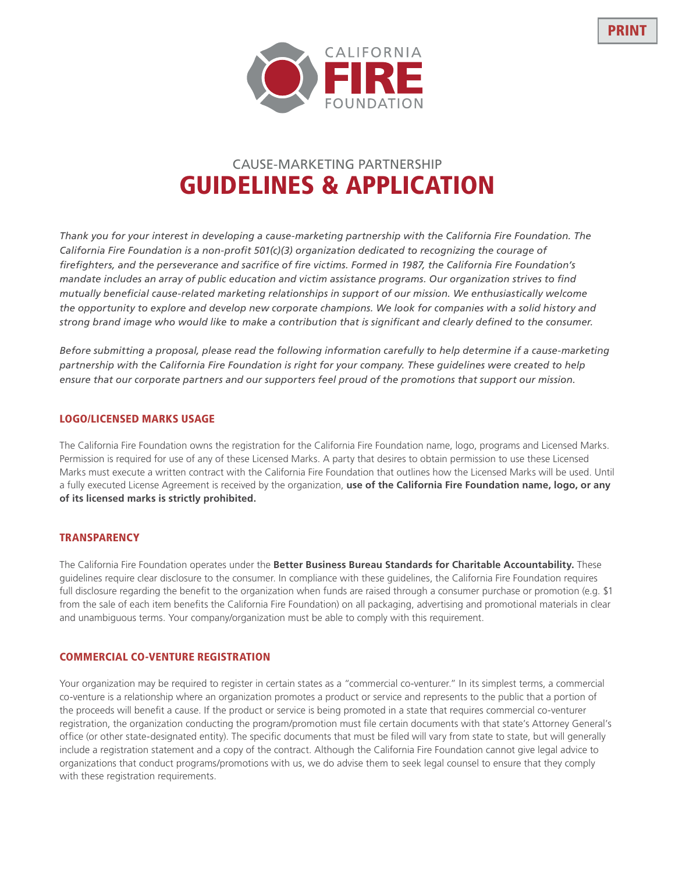

# CAUSE-MARKETING PARTNERSHIP GUIDELINES & APPLICATION

*Thank you for your interest in developing a cause-marketing partnership with the California Fire Foundation. The California Fire Foundation is a non-profit 501(c)(3) organization dedicated to recognizing the courage of firefighters, and the perseverance and sacrifice of fire victims. Formed in 1987, the California Fire Foundation's mandate includes an array of public education and victim assistance programs. Our organization strives to find mutually beneficial cause-related marketing relationships in support of our mission. We enthusiastically welcome the opportunity to explore and develop new corporate champions. We look for companies with a solid history and strong brand image who would like to make a contribution that is significant and clearly defined to the consumer.*

*Before submitting a proposal, please read the following information carefully to help determine if a cause-marketing partnership with the California Fire Foundation is right for your company. These guidelines were created to help ensure that our corporate partners and our supporters feel proud of the promotions that support our mission.*

## LOGO/LICENSED MARKS USAGE

The California Fire Foundation owns the registration for the California Fire Foundation name, logo, programs and Licensed Marks. Permission is required for use of any of these Licensed Marks. A party that desires to obtain permission to use these Licensed Marks must execute a written contract with the California Fire Foundation that outlines how the Licensed Marks will be used. Until a fully executed License Agreement is received by the organization, **use of the California Fire Foundation name, logo, or any of its licensed marks is strictly prohibited.**

## **TRANSPARENCY**

The California Fire Foundation operates under the **Better Business Bureau Standards for Charitable Accountability.** These guidelines require clear disclosure to the consumer. In compliance with these guidelines, the California Fire Foundation requires full disclosure regarding the benefit to the organization when funds are raised through a consumer purchase or promotion (e.g. \$1 from the sale of each item benefits the California Fire Foundation) on all packaging, advertising and promotional materials in clear and unambiguous terms. Your company/organization must be able to comply with this requirement.

## COMMERCIAL CO-VENTURE REGISTRATION

Your organization may be required to register in certain states as a "commercial co-venturer." In its simplest terms, a commercial co-venture is a relationship where an organization promotes a product or service and represents to the public that a portion of the proceeds will benefit a cause. If the product or service is being promoted in a state that requires commercial co-venturer registration, the organization conducting the program/promotion must file certain documents with that state's Attorney General's office (or other state-designated entity). The specific documents that must be filed will vary from state to state, but will generally include a registration statement and a copy of the contract. Although the California Fire Foundation cannot give legal advice to organizations that conduct programs/promotions with us, we do advise them to seek legal counsel to ensure that they comply with these registration requirements.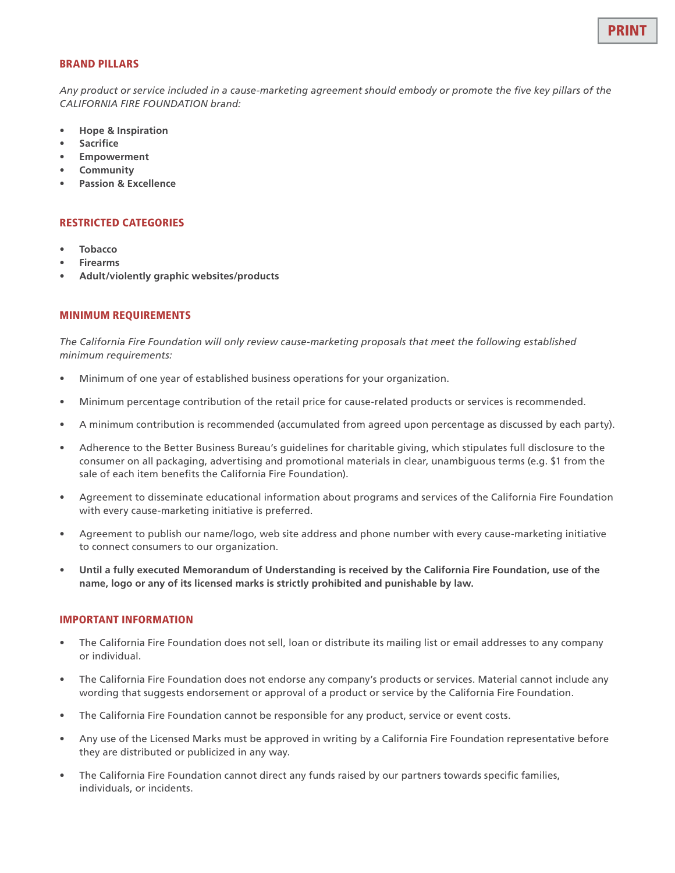

#### BRAND PILLARS

*Any product or service included in a cause-marketing agreement should embody or promote the five key pillars of the CALIFORNIA FIRE FOUNDATION brand:*

- **• Hope & Inspiration**
- **• Sacrifice**
- **• Empowerment**
- **• Community**
- **• Passion & Excellence**

#### RESTRICTED CATEGORIES

- **• Tobacco**
- **• Firearms**
- **• Adult/violently graphic websites/products**

### MINIMUM REQUIREMENTS

*The California Fire Foundation will only review cause-marketing proposals that meet the following established minimum requirements:*

- Minimum of one year of established business operations for your organization.
- Minimum percentage contribution of the retail price for cause-related products or services is recommended.
- A minimum contribution is recommended (accumulated from agreed upon percentage as discussed by each party).
- Adherence to the Better Business Bureau's guidelines for charitable giving, which stipulates full disclosure to the consumer on all packaging, advertising and promotional materials in clear, unambiguous terms (e.g. \$1 from the sale of each item benefits the California Fire Foundation).
- Agreement to disseminate educational information about programs and services of the California Fire Foundation with every cause-marketing initiative is preferred.
- Agreement to publish our name/logo, web site address and phone number with every cause-marketing initiative to connect consumers to our organization.
- **• Until a fully executed Memorandum of Understanding is received by the California Fire Foundation, use of the name, logo or any of its licensed marks is strictly prohibited and punishable by law.**

#### IMPORTANT INFORMATION

- The California Fire Foundation does not sell, loan or distribute its mailing list or email addresses to any company or individual.
- The California Fire Foundation does not endorse any company's products or services. Material cannot include any wording that suggests endorsement or approval of a product or service by the California Fire Foundation.
- The California Fire Foundation cannot be responsible for any product, service or event costs.
- Any use of the Licensed Marks must be approved in writing by a California Fire Foundation representative before they are distributed or publicized in any way.
- The California Fire Foundation cannot direct any funds raised by our partners towards specific families, individuals, or incidents.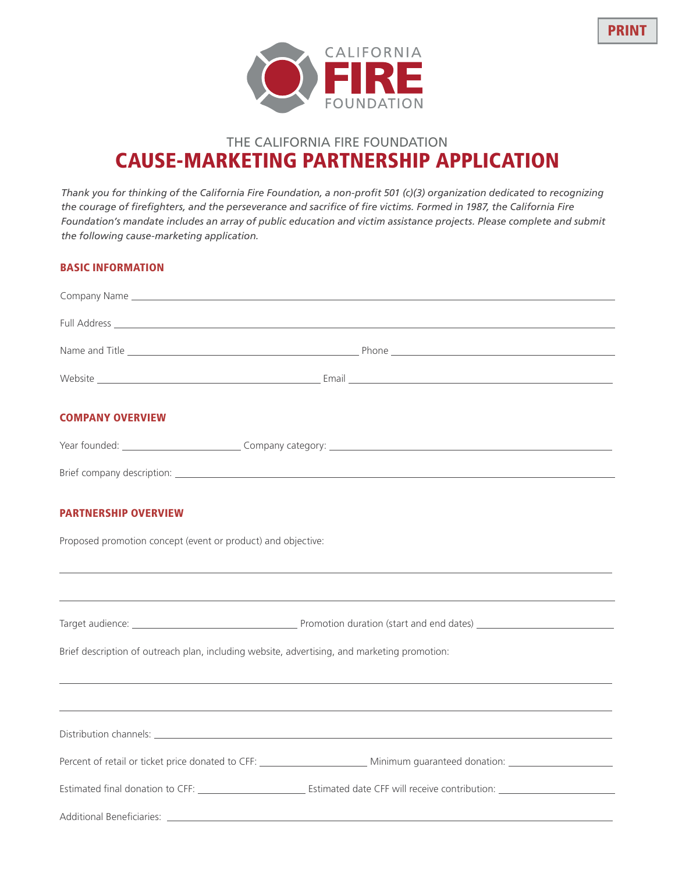



## THE CALIFORNIA FIRE FOUNDATION CAUSE-MARKETING PARTNERSHIP APPLICATION

*Thank you for thinking of the California Fire Foundation, a non-profit 501 (c)(3) organization dedicated to recognizing the courage of firefighters, and the perseverance and sacrifice of fire victims. Formed in 1987, the California Fire Foundation's mandate includes an array of public education and victim assistance projects. Please complete and submit the following cause-marketing application.*

## BASIC INFORMATION

| <b>COMPANY OVERVIEW</b>                                      |                                                                                                                                         |  |
|--------------------------------------------------------------|-----------------------------------------------------------------------------------------------------------------------------------------|--|
|                                                              |                                                                                                                                         |  |
|                                                              |                                                                                                                                         |  |
| <b>PARTNERSHIP OVERVIEW</b>                                  |                                                                                                                                         |  |
| Proposed promotion concept (event or product) and objective: |                                                                                                                                         |  |
|                                                              |                                                                                                                                         |  |
|                                                              |                                                                                                                                         |  |
|                                                              | Brief description of outreach plan, including website, advertising, and marketing promotion:                                            |  |
|                                                              |                                                                                                                                         |  |
|                                                              |                                                                                                                                         |  |
|                                                              | Percent of retail or ticket price donated to CFF: _______________________________ Minimum guaranteed donation: ________________________ |  |
|                                                              |                                                                                                                                         |  |
|                                                              |                                                                                                                                         |  |